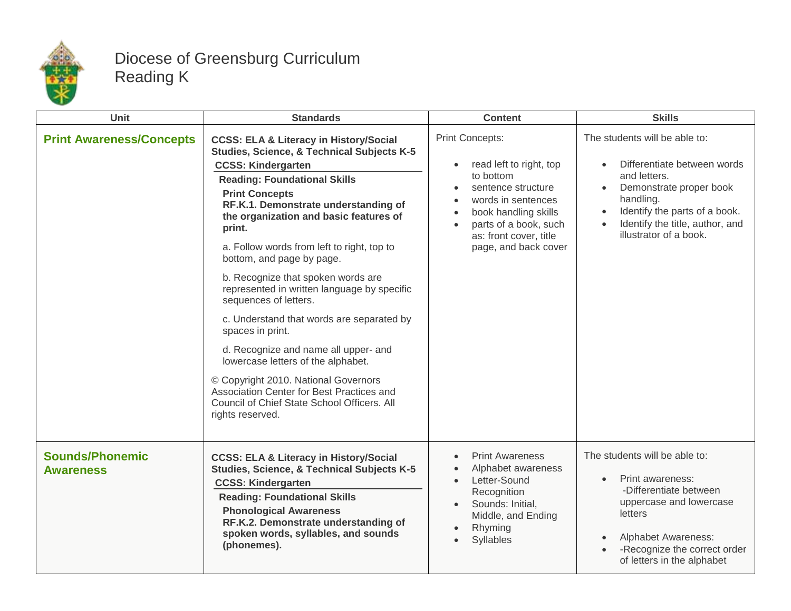

## Diocese of Greensburg Curriculum Reading K

| <b>Unit</b>                                | <b>Standards</b>                                                                                                                                                                                                                                                                                                                                                                                                                                                                                                                                                                                                                                                                                                                                                                         | <b>Content</b>                                                                                                                                                                                                                          | <b>Skills</b>                                                                                                                                                                                                                   |
|--------------------------------------------|------------------------------------------------------------------------------------------------------------------------------------------------------------------------------------------------------------------------------------------------------------------------------------------------------------------------------------------------------------------------------------------------------------------------------------------------------------------------------------------------------------------------------------------------------------------------------------------------------------------------------------------------------------------------------------------------------------------------------------------------------------------------------------------|-----------------------------------------------------------------------------------------------------------------------------------------------------------------------------------------------------------------------------------------|---------------------------------------------------------------------------------------------------------------------------------------------------------------------------------------------------------------------------------|
| <b>Print Awareness/Concepts</b>            | <b>CCSS: ELA &amp; Literacy in History/Social</b><br>Studies, Science, & Technical Subjects K-5<br><b>CCSS: Kindergarten</b><br><b>Reading: Foundational Skills</b><br><b>Print Concepts</b><br>RF.K.1. Demonstrate understanding of<br>the organization and basic features of<br>print.<br>a. Follow words from left to right, top to<br>bottom, and page by page.<br>b. Recognize that spoken words are<br>represented in written language by specific<br>sequences of letters.<br>c. Understand that words are separated by<br>spaces in print.<br>d. Recognize and name all upper- and<br>lowercase letters of the alphabet.<br>© Copyright 2010. National Governors<br>Association Center for Best Practices and<br>Council of Chief State School Officers. All<br>rights reserved. | <b>Print Concepts:</b><br>read left to right, top<br>$\bullet$<br>to bottom<br>sentence structure<br>words in sentences<br>book handling skills<br>$\bullet$<br>parts of a book, such<br>as: front cover, title<br>page, and back cover | The students will be able to:<br>Differentiate between words<br>and letters.<br>Demonstrate proper book<br>$\bullet$<br>handling.<br>Identify the parts of a book.<br>Identify the title, author, and<br>illustrator of a book. |
| <b>Sounds/Phonemic</b><br><b>Awareness</b> | <b>CCSS: ELA &amp; Literacy in History/Social</b><br>Studies, Science, & Technical Subjects K-5<br><b>CCSS: Kindergarten</b><br><b>Reading: Foundational Skills</b><br><b>Phonological Awareness</b><br>RF.K.2. Demonstrate understanding of<br>spoken words, syllables, and sounds<br>(phonemes).                                                                                                                                                                                                                                                                                                                                                                                                                                                                                       | <b>Print Awareness</b><br>$\bullet$<br>Alphabet awareness<br>Letter-Sound<br>$\bullet$<br>Recognition<br>Sounds: Initial,<br>$\bullet$<br>Middle, and Ending<br>Rhyming<br>Syllables                                                    | The students will be able to:<br>Print awareness:<br>$\bullet$<br>-Differentiate between<br>uppercase and lowercase<br>letters<br><b>Alphabet Awareness:</b><br>-Recognize the correct order<br>of letters in the alphabet      |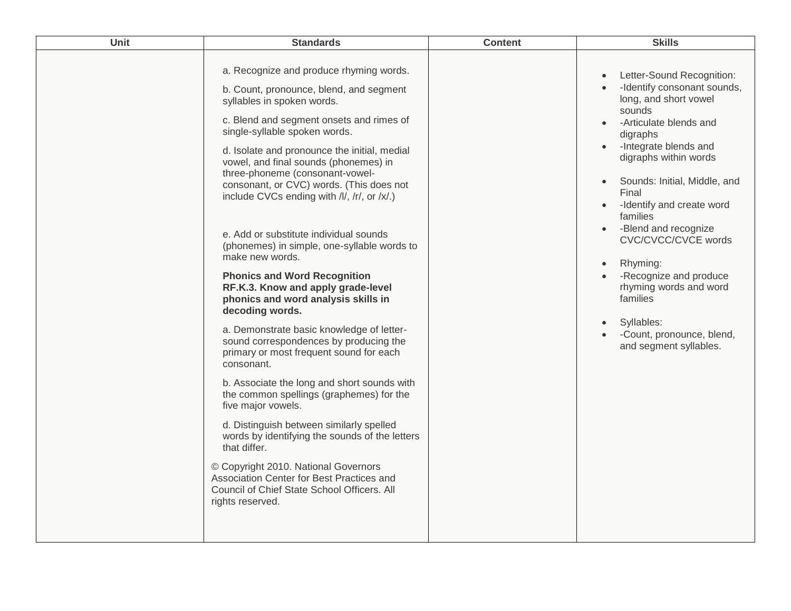| Unit | <b>Standards</b>                                                                                                                                                                                                                                                                                                                                                                                                                                                                                                                                                                                                                                                                                                                                                                                                                                                                                                                                                                                                                                                                                                                                                                                               | <b>Content</b> | <b>Skills</b>                                                                                                                                                                                                                                                                                                                                                                                                                                                                                                                                       |
|------|----------------------------------------------------------------------------------------------------------------------------------------------------------------------------------------------------------------------------------------------------------------------------------------------------------------------------------------------------------------------------------------------------------------------------------------------------------------------------------------------------------------------------------------------------------------------------------------------------------------------------------------------------------------------------------------------------------------------------------------------------------------------------------------------------------------------------------------------------------------------------------------------------------------------------------------------------------------------------------------------------------------------------------------------------------------------------------------------------------------------------------------------------------------------------------------------------------------|----------------|-----------------------------------------------------------------------------------------------------------------------------------------------------------------------------------------------------------------------------------------------------------------------------------------------------------------------------------------------------------------------------------------------------------------------------------------------------------------------------------------------------------------------------------------------------|
|      | a. Recognize and produce rhyming words.<br>b. Count, pronounce, blend, and segment<br>syllables in spoken words.<br>c. Blend and segment onsets and rimes of<br>single-syllable spoken words.<br>d. Isolate and pronounce the initial, medial<br>vowel, and final sounds (phonemes) in<br>three-phoneme (consonant-vowel-<br>consonant, or CVC) words. (This does not<br>include CVCs ending with /l/, /r/, or /x/.)<br>e. Add or substitute individual sounds<br>(phonemes) in simple, one-syllable words to<br>make new words.<br><b>Phonics and Word Recognition</b><br>RF.K.3. Know and apply grade-level<br>phonics and word analysis skills in<br>decoding words.<br>a. Demonstrate basic knowledge of letter-<br>sound correspondences by producing the<br>primary or most frequent sound for each<br>consonant.<br>b. Associate the long and short sounds with<br>the common spellings (graphemes) for the<br>five major vowels.<br>d. Distinguish between similarly spelled<br>words by identifying the sounds of the letters<br>that differ.<br>© Copyright 2010. National Governors<br>Association Center for Best Practices and<br>Council of Chief State School Officers. All<br>rights reserved. |                | Letter-Sound Recognition:<br>$\bullet$<br>-Identify consonant sounds,<br>long, and short vowel<br>sounds<br>-Articulate blends and<br>digraphs<br>-Integrate blends and<br>digraphs within words<br>Sounds: Initial, Middle, and<br>$\bullet$<br>Final<br>-Identify and create word<br>$\bullet$<br>families<br>-Blend and recognize<br>$\bullet$<br>CVC/CVCC/CVCE words<br>Rhyming:<br>$\bullet$<br>-Recognize and produce<br>rhyming words and word<br>families<br>Syllables:<br>$\bullet$<br>-Count, pronounce, blend,<br>and segment syllables. |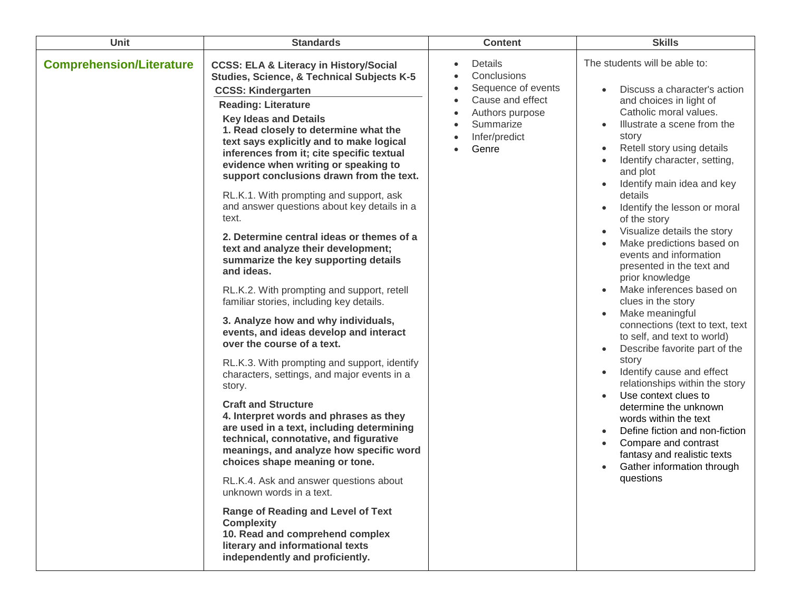| Unit                            | <b>Standards</b>                                                                                                                                                                                                                                                                                                                                                                                                                                                                                                                                                                                                                                                                                                                                                                                                                                                                                                                                                                                                                                                                                                                                                                                                                                                                                                                                                                                                                                                                         | <b>Content</b>                                                                                                                                                                              | <b>Skills</b>                                                                                                                                                                                                                                                                                                                                                                                                                                                                                                                                                                                                                                                                                                                                                                                                                                                                                                                                  |
|---------------------------------|------------------------------------------------------------------------------------------------------------------------------------------------------------------------------------------------------------------------------------------------------------------------------------------------------------------------------------------------------------------------------------------------------------------------------------------------------------------------------------------------------------------------------------------------------------------------------------------------------------------------------------------------------------------------------------------------------------------------------------------------------------------------------------------------------------------------------------------------------------------------------------------------------------------------------------------------------------------------------------------------------------------------------------------------------------------------------------------------------------------------------------------------------------------------------------------------------------------------------------------------------------------------------------------------------------------------------------------------------------------------------------------------------------------------------------------------------------------------------------------|---------------------------------------------------------------------------------------------------------------------------------------------------------------------------------------------|------------------------------------------------------------------------------------------------------------------------------------------------------------------------------------------------------------------------------------------------------------------------------------------------------------------------------------------------------------------------------------------------------------------------------------------------------------------------------------------------------------------------------------------------------------------------------------------------------------------------------------------------------------------------------------------------------------------------------------------------------------------------------------------------------------------------------------------------------------------------------------------------------------------------------------------------|
| <b>Comprehension/Literature</b> | <b>CCSS: ELA &amp; Literacy in History/Social</b><br><b>Studies, Science, &amp; Technical Subjects K-5</b><br><b>CCSS: Kindergarten</b><br><b>Reading: Literature</b><br><b>Key Ideas and Details</b><br>1. Read closely to determine what the<br>text says explicitly and to make logical<br>inferences from it; cite specific textual<br>evidence when writing or speaking to<br>support conclusions drawn from the text.<br>RL.K.1. With prompting and support, ask<br>and answer questions about key details in a<br>text.<br>2. Determine central ideas or themes of a<br>text and analyze their development;<br>summarize the key supporting details<br>and ideas.<br>RL.K.2. With prompting and support, retell<br>familiar stories, including key details.<br>3. Analyze how and why individuals,<br>events, and ideas develop and interact<br>over the course of a text.<br>RL.K.3. With prompting and support, identify<br>characters, settings, and major events in a<br>story.<br><b>Craft and Structure</b><br>4. Interpret words and phrases as they<br>are used in a text, including determining<br>technical, connotative, and figurative<br>meanings, and analyze how specific word<br>choices shape meaning or tone.<br>RL.K.4. Ask and answer questions about<br>unknown words in a text.<br><b>Range of Reading and Level of Text</b><br><b>Complexity</b><br>10. Read and comprehend complex<br>literary and informational texts<br>independently and proficiently. | Details<br>$\bullet$<br>Conclusions<br>Sequence of events<br>$\bullet$<br>Cause and effect<br>$\bullet$<br>Authors purpose<br>$\bullet$<br>Summarize<br>$\bullet$<br>Infer/predict<br>Genre | The students will be able to:<br>Discuss a character's action<br>and choices in light of<br>Catholic moral values.<br>Illustrate a scene from the<br>$\bullet$<br>story<br>Retell story using details<br>Identify character, setting,<br>and plot<br>Identify main idea and key<br>details<br>Identify the lesson or moral<br>of the story<br>Visualize details the story<br>Make predictions based on<br>events and information<br>presented in the text and<br>prior knowledge<br>Make inferences based on<br>clues in the story<br>Make meaningful<br>connections (text to text, text<br>to self, and text to world)<br>Describe favorite part of the<br>story<br>Identify cause and effect<br>relationships within the story<br>Use context clues to<br>determine the unknown<br>words within the text<br>Define fiction and non-fiction<br>Compare and contrast<br>fantasy and realistic texts<br>Gather information through<br>questions |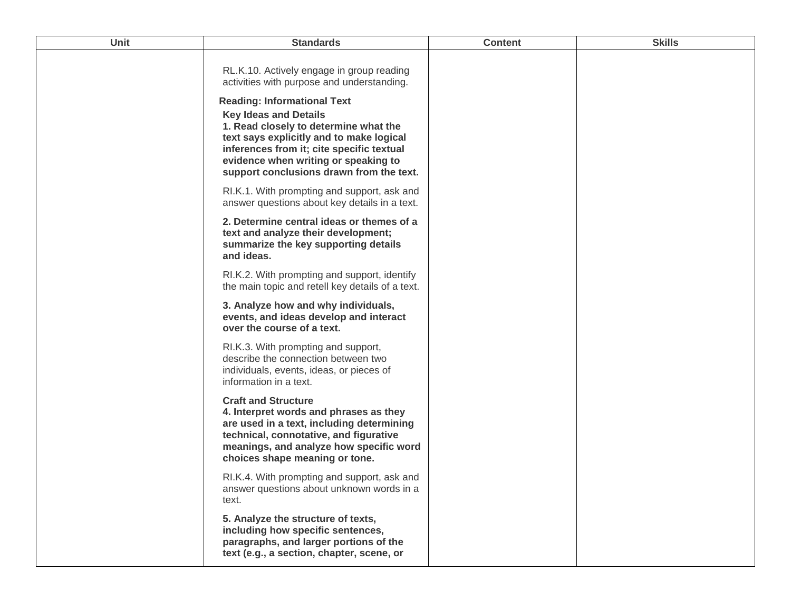| Unit | <b>Standards</b>                                                                                                                                                                                                                                                                         | <b>Content</b> | <b>Skills</b> |
|------|------------------------------------------------------------------------------------------------------------------------------------------------------------------------------------------------------------------------------------------------------------------------------------------|----------------|---------------|
|      | RL.K.10. Actively engage in group reading<br>activities with purpose and understanding.                                                                                                                                                                                                  |                |               |
|      | <b>Reading: Informational Text</b><br><b>Key Ideas and Details</b><br>1. Read closely to determine what the<br>text says explicitly and to make logical<br>inferences from it; cite specific textual<br>evidence when writing or speaking to<br>support conclusions drawn from the text. |                |               |
|      | RI.K.1. With prompting and support, ask and<br>answer questions about key details in a text.                                                                                                                                                                                             |                |               |
|      | 2. Determine central ideas or themes of a<br>text and analyze their development;<br>summarize the key supporting details<br>and ideas.                                                                                                                                                   |                |               |
|      | RI.K.2. With prompting and support, identify<br>the main topic and retell key details of a text.                                                                                                                                                                                         |                |               |
|      | 3. Analyze how and why individuals,<br>events, and ideas develop and interact<br>over the course of a text.                                                                                                                                                                              |                |               |
|      | RI.K.3. With prompting and support,<br>describe the connection between two<br>individuals, events, ideas, or pieces of<br>information in a text.                                                                                                                                         |                |               |
|      | <b>Craft and Structure</b><br>4. Interpret words and phrases as they<br>are used in a text, including determining<br>technical, connotative, and figurative<br>meanings, and analyze how specific word<br>choices shape meaning or tone.                                                 |                |               |
|      | RI.K.4. With prompting and support, ask and<br>answer questions about unknown words in a<br>text.                                                                                                                                                                                        |                |               |
|      | 5. Analyze the structure of texts,<br>including how specific sentences,<br>paragraphs, and larger portions of the<br>text (e.g., a section, chapter, scene, or                                                                                                                           |                |               |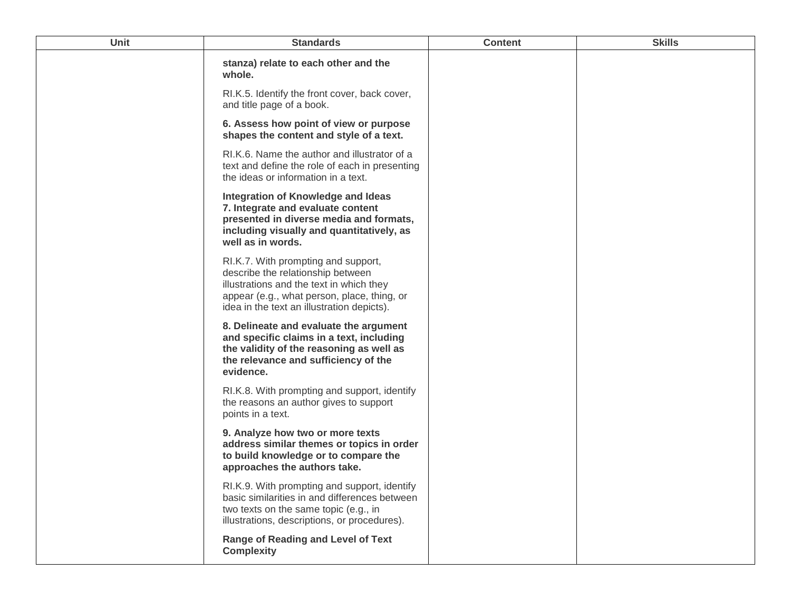| <b>Unit</b> | <b>Standards</b>                                                                                                                                                                                                  | <b>Content</b> | <b>Skills</b> |
|-------------|-------------------------------------------------------------------------------------------------------------------------------------------------------------------------------------------------------------------|----------------|---------------|
|             | stanza) relate to each other and the<br>whole.                                                                                                                                                                    |                |               |
|             | RI.K.5. Identify the front cover, back cover,<br>and title page of a book.                                                                                                                                        |                |               |
|             | 6. Assess how point of view or purpose<br>shapes the content and style of a text.                                                                                                                                 |                |               |
|             | RI.K.6. Name the author and illustrator of a<br>text and define the role of each in presenting<br>the ideas or information in a text.                                                                             |                |               |
|             | <b>Integration of Knowledge and Ideas</b><br>7. Integrate and evaluate content<br>presented in diverse media and formats,<br>including visually and quantitatively, as<br>well as in words.                       |                |               |
|             | RI.K.7. With prompting and support,<br>describe the relationship between<br>illustrations and the text in which they<br>appear (e.g., what person, place, thing, or<br>idea in the text an illustration depicts). |                |               |
|             | 8. Delineate and evaluate the argument<br>and specific claims in a text, including<br>the validity of the reasoning as well as<br>the relevance and sufficiency of the<br>evidence.                               |                |               |
|             | RI.K.8. With prompting and support, identify<br>the reasons an author gives to support<br>points in a text.                                                                                                       |                |               |
|             | 9. Analyze how two or more texts<br>address similar themes or topics in order<br>to build knowledge or to compare the<br>approaches the authors take.                                                             |                |               |
|             | RI.K.9. With prompting and support, identify<br>basic similarities in and differences between<br>two texts on the same topic (e.g., in<br>illustrations, descriptions, or procedures).                            |                |               |
|             | <b>Range of Reading and Level of Text</b><br><b>Complexity</b>                                                                                                                                                    |                |               |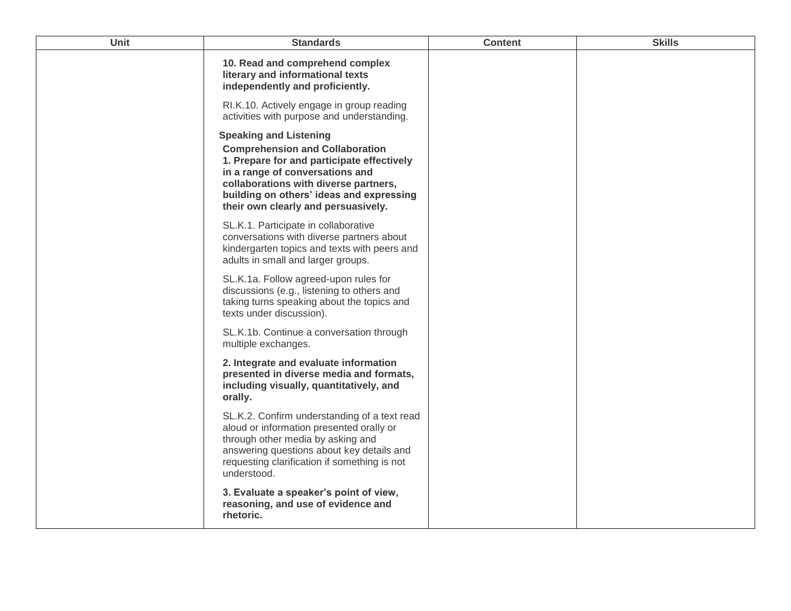| <b>Unit</b> | <b>Standards</b>                                                                                                                                                                                                                                                                     | <b>Content</b> | <b>Skills</b> |
|-------------|--------------------------------------------------------------------------------------------------------------------------------------------------------------------------------------------------------------------------------------------------------------------------------------|----------------|---------------|
|             | 10. Read and comprehend complex<br>literary and informational texts<br>independently and proficiently.                                                                                                                                                                               |                |               |
|             | RI.K.10. Actively engage in group reading<br>activities with purpose and understanding.                                                                                                                                                                                              |                |               |
|             | <b>Speaking and Listening</b><br><b>Comprehension and Collaboration</b><br>1. Prepare for and participate effectively<br>in a range of conversations and<br>collaborations with diverse partners,<br>building on others' ideas and expressing<br>their own clearly and persuasively. |                |               |
|             | SL.K.1. Participate in collaborative<br>conversations with diverse partners about<br>kindergarten topics and texts with peers and<br>adults in small and larger groups.                                                                                                              |                |               |
|             | SL.K.1a. Follow agreed-upon rules for<br>discussions (e.g., listening to others and<br>taking turns speaking about the topics and<br>texts under discussion).                                                                                                                        |                |               |
|             | SL.K.1b. Continue a conversation through<br>multiple exchanges.                                                                                                                                                                                                                      |                |               |
|             | 2. Integrate and evaluate information<br>presented in diverse media and formats,<br>including visually, quantitatively, and<br>orally.                                                                                                                                               |                |               |
|             | SL.K.2. Confirm understanding of a text read<br>aloud or information presented orally or<br>through other media by asking and<br>answering questions about key details and<br>requesting clarification if something is not<br>understood.                                            |                |               |
|             | 3. Evaluate a speaker's point of view,<br>reasoning, and use of evidence and<br>rhetoric.                                                                                                                                                                                            |                |               |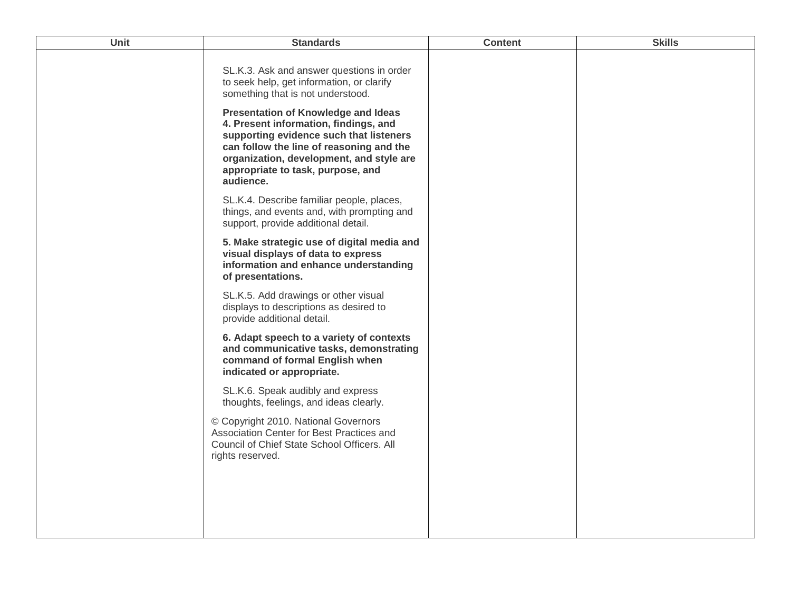| <b>Unit</b> | <b>Standards</b>                                                                                                                                                                                                                                                         | <b>Content</b> | <b>Skills</b> |
|-------------|--------------------------------------------------------------------------------------------------------------------------------------------------------------------------------------------------------------------------------------------------------------------------|----------------|---------------|
|             | SL.K.3. Ask and answer questions in order<br>to seek help, get information, or clarify<br>something that is not understood.                                                                                                                                              |                |               |
|             | <b>Presentation of Knowledge and Ideas</b><br>4. Present information, findings, and<br>supporting evidence such that listeners<br>can follow the line of reasoning and the<br>organization, development, and style are<br>appropriate to task, purpose, and<br>audience. |                |               |
|             | SL.K.4. Describe familiar people, places,<br>things, and events and, with prompting and<br>support, provide additional detail.                                                                                                                                           |                |               |
|             | 5. Make strategic use of digital media and<br>visual displays of data to express<br>information and enhance understanding<br>of presentations.                                                                                                                           |                |               |
|             | SL.K.5. Add drawings or other visual<br>displays to descriptions as desired to<br>provide additional detail.                                                                                                                                                             |                |               |
|             | 6. Adapt speech to a variety of contexts<br>and communicative tasks, demonstrating<br>command of formal English when<br>indicated or appropriate.                                                                                                                        |                |               |
|             | SL.K.6. Speak audibly and express<br>thoughts, feelings, and ideas clearly.                                                                                                                                                                                              |                |               |
|             | © Copyright 2010. National Governors<br>Association Center for Best Practices and<br>Council of Chief State School Officers. All<br>rights reserved.                                                                                                                     |                |               |
|             |                                                                                                                                                                                                                                                                          |                |               |
|             |                                                                                                                                                                                                                                                                          |                |               |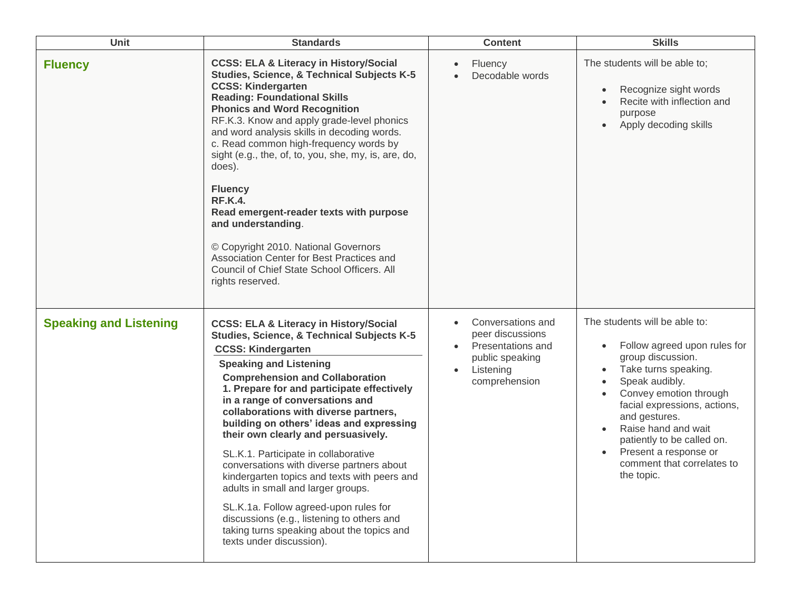| Unit                          | <b>Standards</b>                                                                                                                                                                                                                                                                                                                                                                                                                                                                                                                                                                                                                                                                                                                                                            | <b>Content</b>                                                                                                           | <b>Skills</b>                                                                                                                                                                                                                                                                                                                     |
|-------------------------------|-----------------------------------------------------------------------------------------------------------------------------------------------------------------------------------------------------------------------------------------------------------------------------------------------------------------------------------------------------------------------------------------------------------------------------------------------------------------------------------------------------------------------------------------------------------------------------------------------------------------------------------------------------------------------------------------------------------------------------------------------------------------------------|--------------------------------------------------------------------------------------------------------------------------|-----------------------------------------------------------------------------------------------------------------------------------------------------------------------------------------------------------------------------------------------------------------------------------------------------------------------------------|
| <b>Fluency</b>                | <b>CCSS: ELA &amp; Literacy in History/Social</b><br><b>Studies, Science, &amp; Technical Subjects K-5</b><br><b>CCSS: Kindergarten</b><br><b>Reading: Foundational Skills</b><br><b>Phonics and Word Recognition</b><br>RF.K.3. Know and apply grade-level phonics<br>and word analysis skills in decoding words.<br>c. Read common high-frequency words by<br>sight (e.g., the, of, to, you, she, my, is, are, do,<br>does).<br><b>Fluency</b><br><b>RF.K.4.</b><br>Read emergent-reader texts with purpose<br>and understanding.<br>© Copyright 2010. National Governors<br>Association Center for Best Practices and<br>Council of Chief State School Officers. All<br>rights reserved.                                                                                 | Fluency<br>Decodable words                                                                                               | The students will be able to;<br>Recognize sight words<br>Recite with inflection and<br>purpose<br>Apply decoding skills<br>$\bullet$                                                                                                                                                                                             |
| <b>Speaking and Listening</b> | <b>CCSS: ELA &amp; Literacy in History/Social</b><br><b>Studies, Science, &amp; Technical Subjects K-5</b><br><b>CCSS: Kindergarten</b><br><b>Speaking and Listening</b><br><b>Comprehension and Collaboration</b><br>1. Prepare for and participate effectively<br>in a range of conversations and<br>collaborations with diverse partners,<br>building on others' ideas and expressing<br>their own clearly and persuasively.<br>SL.K.1. Participate in collaborative<br>conversations with diverse partners about<br>kindergarten topics and texts with peers and<br>adults in small and larger groups.<br>SL.K.1a. Follow agreed-upon rules for<br>discussions (e.g., listening to others and<br>taking turns speaking about the topics and<br>texts under discussion). | Conversations and<br>peer discussions<br>Presentations and<br>public speaking<br>Listening<br>$\bullet$<br>comprehension | The students will be able to:<br>Follow agreed upon rules for<br>group discussion.<br>Take turns speaking.<br>Speak audibly.<br>Convey emotion through<br>facial expressions, actions,<br>and gestures.<br>Raise hand and wait<br>patiently to be called on.<br>Present a response or<br>comment that correlates to<br>the topic. |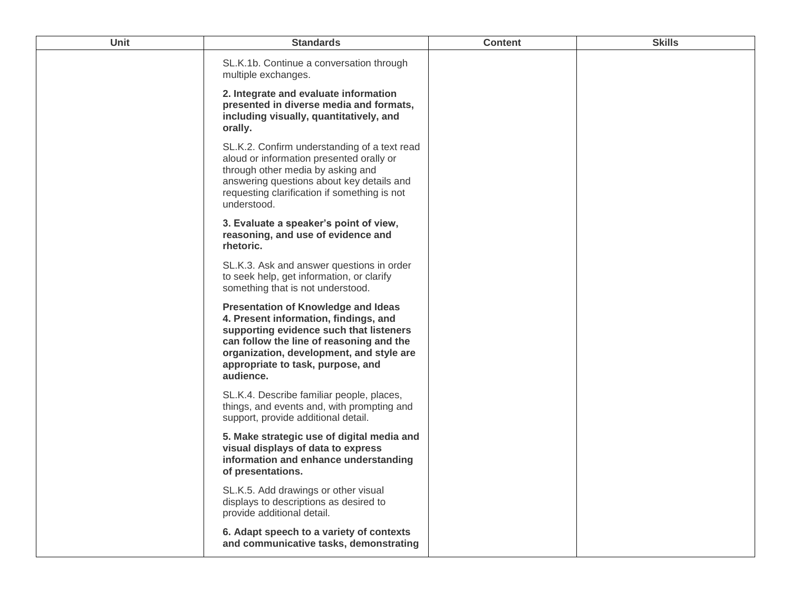| Unit | <b>Standards</b>                                                                                                                                                                                                                                                         | <b>Content</b> | <b>Skills</b> |
|------|--------------------------------------------------------------------------------------------------------------------------------------------------------------------------------------------------------------------------------------------------------------------------|----------------|---------------|
|      | SL.K.1b. Continue a conversation through<br>multiple exchanges.                                                                                                                                                                                                          |                |               |
|      | 2. Integrate and evaluate information<br>presented in diverse media and formats,<br>including visually, quantitatively, and<br>orally.                                                                                                                                   |                |               |
|      | SL.K.2. Confirm understanding of a text read<br>aloud or information presented orally or<br>through other media by asking and<br>answering questions about key details and<br>requesting clarification if something is not<br>understood.                                |                |               |
|      | 3. Evaluate a speaker's point of view,<br>reasoning, and use of evidence and<br>rhetoric.                                                                                                                                                                                |                |               |
|      | SL.K.3. Ask and answer questions in order<br>to seek help, get information, or clarify<br>something that is not understood.                                                                                                                                              |                |               |
|      | <b>Presentation of Knowledge and Ideas</b><br>4. Present information, findings, and<br>supporting evidence such that listeners<br>can follow the line of reasoning and the<br>organization, development, and style are<br>appropriate to task, purpose, and<br>audience. |                |               |
|      | SL.K.4. Describe familiar people, places,<br>things, and events and, with prompting and<br>support, provide additional detail.                                                                                                                                           |                |               |
|      | 5. Make strategic use of digital media and<br>visual displays of data to express<br>information and enhance understanding<br>of presentations.                                                                                                                           |                |               |
|      | SL.K.5. Add drawings or other visual<br>displays to descriptions as desired to<br>provide additional detail.                                                                                                                                                             |                |               |
|      | 6. Adapt speech to a variety of contexts<br>and communicative tasks, demonstrating                                                                                                                                                                                       |                |               |